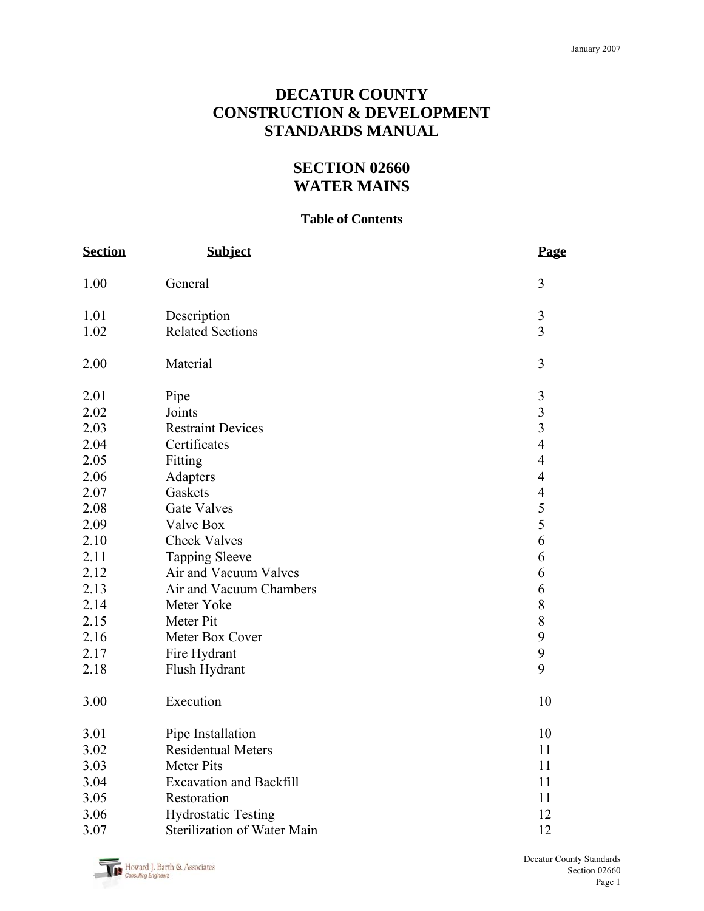# **DECATUR COUNTY CONSTRUCTION & DEVELOPMENT STANDARDS MANUAL**

# **SECTION 02660 WATER MAINS**

#### **Table of Contents**

| <b>Section</b> | <b>Subject</b>                 | Page           |
|----------------|--------------------------------|----------------|
| 1.00           | General                        | 3              |
| 1.01           | Description                    | $\mathfrak{Z}$ |
| 1.02           | <b>Related Sections</b>        | $\overline{3}$ |
| 2.00           | Material                       | 3              |
| 2.01           | Pipe                           | $\mathfrak{Z}$ |
| 2.02           | Joints                         | $\overline{3}$ |
| 2.03           | <b>Restraint Devices</b>       | $\overline{3}$ |
| 2.04           | Certificates                   | $\overline{4}$ |
| 2.05           | Fitting                        | $\overline{4}$ |
| 2.06           | Adapters                       | $\overline{4}$ |
| 2.07           | Gaskets                        | $\overline{4}$ |
| 2.08           | <b>Gate Valves</b>             | $rac{5}{5}$    |
| 2.09           | Valve Box                      |                |
| 2.10           | <b>Check Valves</b>            | 6              |
| 2.11           | <b>Tapping Sleeve</b>          | 6              |
| 2.12           | Air and Vacuum Valves          | 6              |
| 2.13           | Air and Vacuum Chambers        | 6              |
| 2.14           | Meter Yoke                     | 8              |
| 2.15           | Meter Pit                      | 8              |
| 2.16           | Meter Box Cover                | 9              |
| 2.17           | Fire Hydrant                   | 9              |
| 2.18           | Flush Hydrant                  | 9              |
| 3.00           | Execution                      | 10             |
| 3.01           | Pipe Installation              | 10             |
| 3.02           | <b>Residentual Meters</b>      | 11             |
| 3.03           | <b>Meter Pits</b>              | 11             |
| 3.04           | <b>Excavation and Backfill</b> | 11             |
| 3.05           | Restoration                    | 11<br>12       |
| 3.06           | <b>Hydrostatic Testing</b>     |                |
| 3.07           | Sterilization of Water Main    |                |

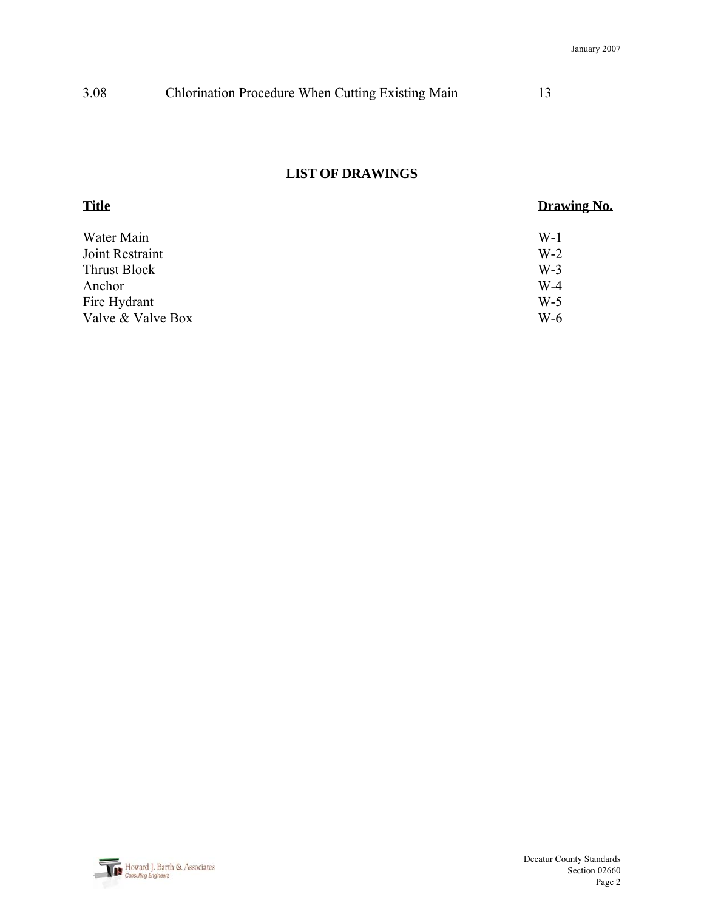| 3.08 | Chlorination Procedure When Cutting Existing Main |  |
|------|---------------------------------------------------|--|
|------|---------------------------------------------------|--|

# **LIST OF DRAWINGS**

| <b>Title</b>      | Drawing No. |  |
|-------------------|-------------|--|
| Water Main        | $W-1$       |  |
| Joint Restraint   | $W-2$       |  |
| Thrust Block      | $W-3$       |  |
| Anchor            | $W-4$       |  |
| Fire Hydrant      | $W-5$       |  |
| Valve & Valve Box | $W-6$       |  |

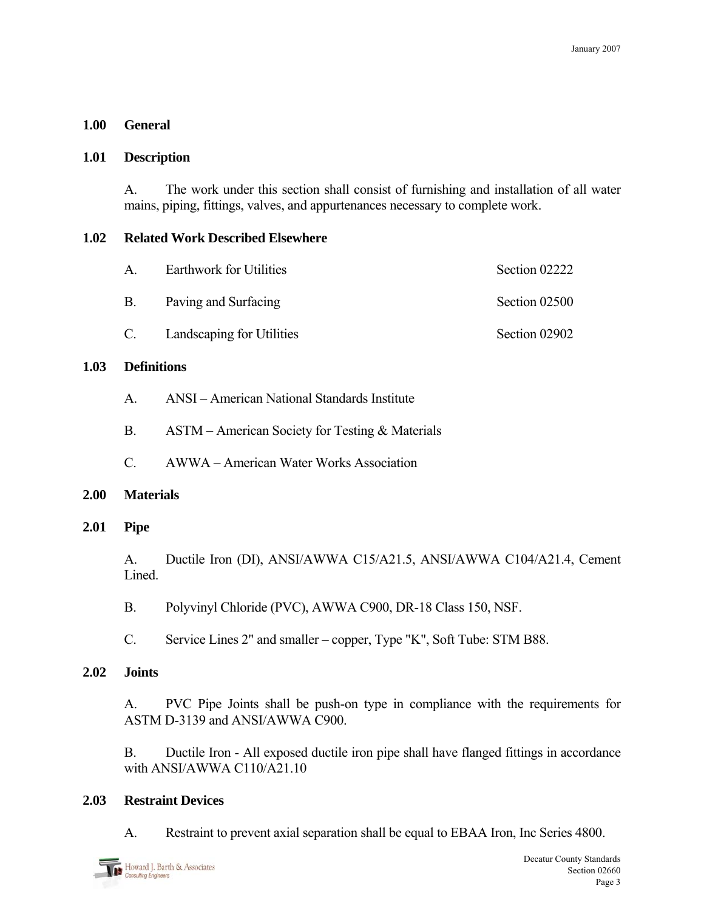### **1.00 General**

#### **1.01 Description**

A. The work under this section shall consist of furnishing and installation of all water mains, piping, fittings, valves, and appurtenances necessary to complete work.

#### **1.02 Related Work Described Elsewhere**

| $\mathsf{A}$ | <b>Earthwork for Utilities</b> | Section 02222 |
|--------------|--------------------------------|---------------|
|              | B. Paving and Surfacing        | Section 02500 |
|              | C. Landscaping for Utilities   | Section 02902 |

#### **1.03 Definitions**

- A. ANSI American National Standards Institute
- B. ASTM American Society for Testing & Materials
- C. AWWA American Water Works Association

# **2.00 Materials**

# **2.01 Pipe**

 A. Ductile Iron (DI), ANSI/AWWA C15/A21.5, ANSI/AWWA C104/A21.4, Cement Lined.

B. Polyvinyl Chloride (PVC), AWWA C900, DR-18 Class 150, NSF.

C. Service Lines 2" and smaller – copper, Type "K", Soft Tube: STM B88.

# **2.02 Joints**

 A. PVC Pipe Joints shall be push-on type in compliance with the requirements for ASTM D-3139 and ANSI/AWWA C900.

 B. Ductile Iron - All exposed ductile iron pipe shall have flanged fittings in accordance with ANSI/AWWA C110/A21 10

# **2.03 Restraint Devices**

A. Restraint to prevent axial separation shall be equal to EBAA Iron, Inc Series 4800.

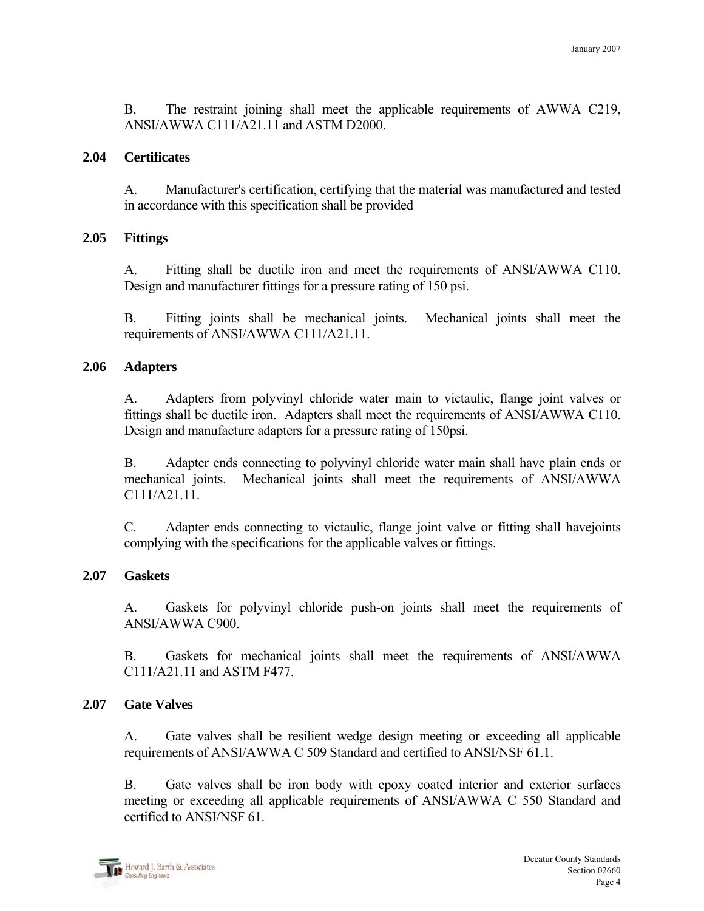B. The restraint joining shall meet the applicable requirements of AWWA C219, ANSI/AWWA C111/A21.11 and ASTM D2000.

#### **2.04 Certificates**

A. Manufacturer's certification, certifying that the material was manufactured and tested in accordance with this specification shall be provided

#### **2.05 Fittings**

A. Fitting shall be ductile iron and meet the requirements of ANSI/AWWA C110. Design and manufacturer fittings for a pressure rating of 150 psi.

B. Fitting joints shall be mechanical joints. Mechanical joints shall meet the requirements of ANSI/AWWA C111/A21.11.

#### **2.06 Adapters**

A. Adapters from polyvinyl chloride water main to victaulic, flange joint valves or fittings shall be ductile iron. Adapters shall meet the requirements of ANSI/AWWA C110. Design and manufacture adapters for a pressure rating of 150psi.

B. Adapter ends connecting to polyvinyl chloride water main shall have plain ends or mechanical joints. Mechanical joints shall meet the requirements of ANSI/AWWA C111/A21.11.

C. Adapter ends connecting to victaulic, flange joint valve or fitting shall havejoints complying with the specifications for the applicable valves or fittings.

# **2.07 Gaskets**

A. Gaskets for polyvinyl chloride push-on joints shall meet the requirements of ANSI/AWWA C900.

B. Gaskets for mechanical joints shall meet the requirements of ANSI/AWWA C111/A21.11 and ASTM F477.

# **2.07 Gate Valves**

 A. Gate valves shall be resilient wedge design meeting or exceeding all applicable requirements of ANSI/AWWA C 509 Standard and certified to ANSI/NSF 61.1.

 B. Gate valves shall be iron body with epoxy coated interior and exterior surfaces meeting or exceeding all applicable requirements of ANSI/AWWA C 550 Standard and certified to ANSI/NSF 61.

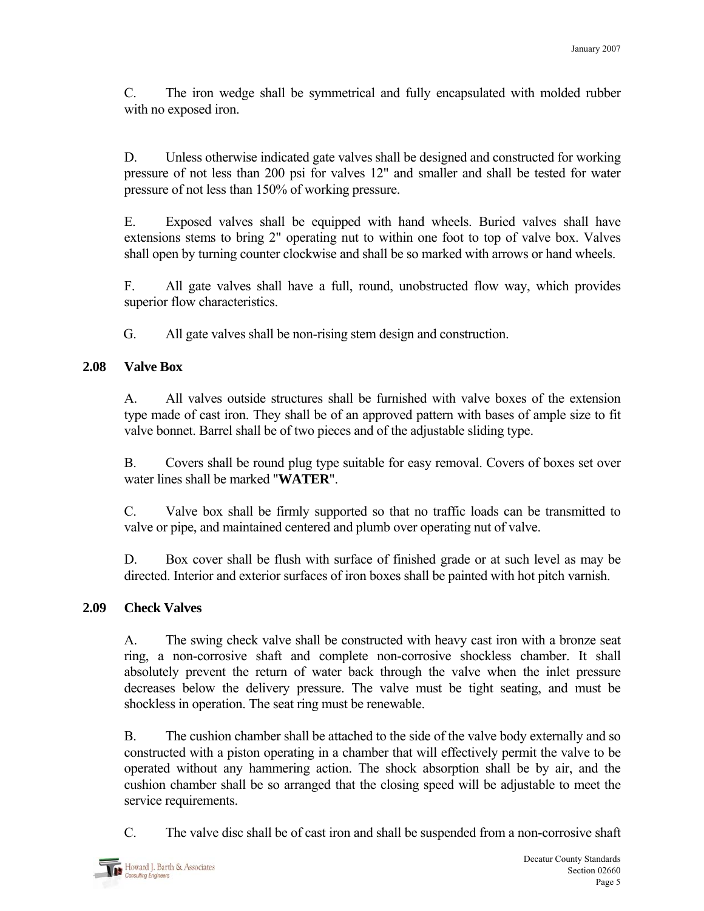C. The iron wedge shall be symmetrical and fully encapsulated with molded rubber with no exposed iron.

 D. Unless otherwise indicated gate valves shall be designed and constructed for working pressure of not less than 200 psi for valves 12" and smaller and shall be tested for water pressure of not less than 150% of working pressure.

 E. Exposed valves shall be equipped with hand wheels. Buried valves shall have extensions stems to bring 2" operating nut to within one foot to top of valve box. Valves shall open by turning counter clockwise and shall be so marked with arrows or hand wheels.

 F. All gate valves shall have a full, round, unobstructed flow way, which provides superior flow characteristics.

G. All gate valves shall be non-rising stem design and construction.

# **2.08 Valve Box**

 A. All valves outside structures shall be furnished with valve boxes of the extension type made of cast iron. They shall be of an approved pattern with bases of ample size to fit valve bonnet. Barrel shall be of two pieces and of the adjustable sliding type.

 B. Covers shall be round plug type suitable for easy removal. Covers of boxes set over water lines shall be marked "**WATER**".

 C. Valve box shall be firmly supported so that no traffic loads can be transmitted to valve or pipe, and maintained centered and plumb over operating nut of valve.

 D. Box cover shall be flush with surface of finished grade or at such level as may be directed. Interior and exterior surfaces of iron boxes shall be painted with hot pitch varnish.

# **2.09 Check Valves**

 A. The swing check valve shall be constructed with heavy cast iron with a bronze seat ring, a non-corrosive shaft and complete non-corrosive shockless chamber. It shall absolutely prevent the return of water back through the valve when the inlet pressure decreases below the delivery pressure. The valve must be tight seating, and must be shockless in operation. The seat ring must be renewable.

 B. The cushion chamber shall be attached to the side of the valve body externally and so constructed with a piston operating in a chamber that will effectively permit the valve to be operated without any hammering action. The shock absorption shall be by air, and the cushion chamber shall be so arranged that the closing speed will be adjustable to meet the service requirements.

C. The valve disc shall be of cast iron and shall be suspended from a non-corrosive shaft

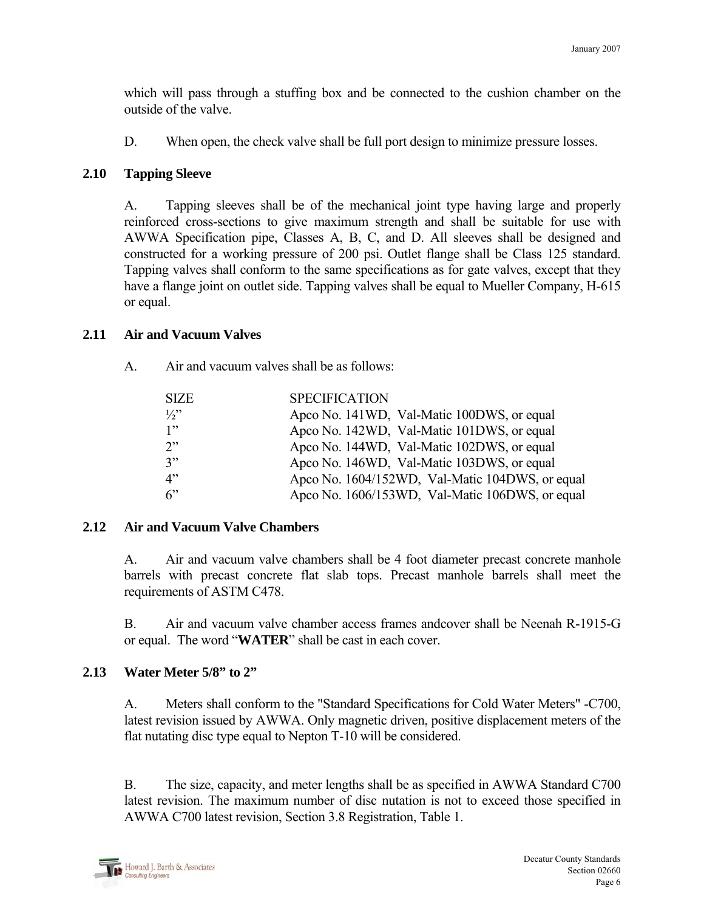which will pass through a stuffing box and be connected to the cushion chamber on the outside of the valve.

D. When open, the check valve shall be full port design to minimize pressure losses.

### **2.10 Tapping Sleeve**

 A. Tapping sleeves shall be of the mechanical joint type having large and properly reinforced cross-sections to give maximum strength and shall be suitable for use with AWWA Specification pipe, Classes A, B, C, and D. All sleeves shall be designed and constructed for a working pressure of 200 psi. Outlet flange shall be Class 125 standard. Tapping valves shall conform to the same specifications as for gate valves, except that they have a flange joint on outlet side. Tapping valves shall be equal to Mueller Company, H-615 or equal.

#### **2.11 Air and Vacuum Valves**

A. Air and vacuum valves shall be as follows:

| <b>SIZE</b>   | <b>SPECIFICATION</b>                            |
|---------------|-------------------------------------------------|
| $\frac{1}{2}$ | Apco No. 141WD, Val-Matic 100DWS, or equal      |
| 1"            | Apco No. 142WD, Val-Matic 101DWS, or equal      |
| 2"            | Apco No. 144WD, Val-Matic 102DWS, or equal      |
| 3"            | Apco No. 146WD, Val-Matic 103DWS, or equal      |
| 4"            | Apco No. 1604/152WD, Val-Matic 104DWS, or equal |
| 6             | Apco No. 1606/153WD, Val-Matic 106DWS, or equal |

# **2.12 Air and Vacuum Valve Chambers**

A. Air and vacuum valve chambers shall be 4 foot diameter precast concrete manhole barrels with precast concrete flat slab tops. Precast manhole barrels shall meet the requirements of ASTM C478.

B. Air and vacuum valve chamber access frames andcover shall be Neenah R-1915-G or equal. The word "**WATER**" shall be cast in each cover.

# **2.13 Water Meter 5/8" to 2"**

 A. Meters shall conform to the "Standard Specifications for Cold Water Meters" -C700, latest revision issued by AWWA. Only magnetic driven, positive displacement meters of the flat nutating disc type equal to Nepton T-10 will be considered.

 B. The size, capacity, and meter lengths shall be as specified in AWWA Standard C700 latest revision. The maximum number of disc nutation is not to exceed those specified in AWWA C700 latest revision, Section 3.8 Registration, Table 1.

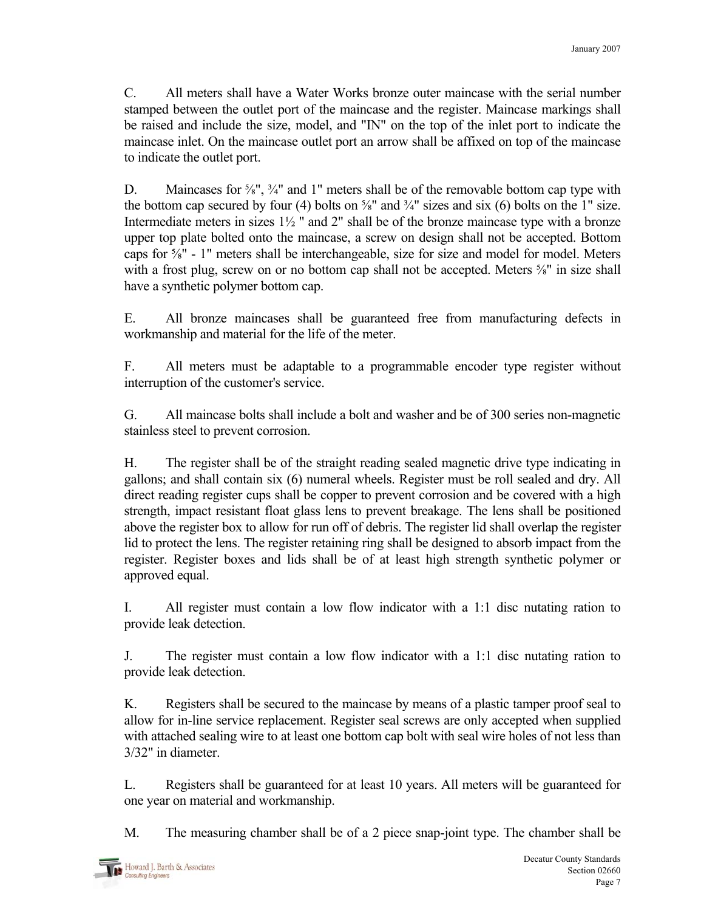C. All meters shall have a Water Works bronze outer maincase with the serial number stamped between the outlet port of the maincase and the register. Maincase markings shall be raised and include the size, model, and "IN" on the top of the inlet port to indicate the maincase inlet. On the maincase outlet port an arrow shall be affixed on top of the maincase to indicate the outlet port.

D. Maincases for <sup>5</sup>/<sub>8</sub>", <sup>3</sup>/<sub>4</sub>" and 1" meters shall be of the removable bottom cap type with the bottom cap secured by four (4) bolts on  $\frac{5}{8}$ " and  $\frac{3}{4}$ " sizes and six (6) bolts on the 1" size. Intermediate meters in sizes 1½ " and 2" shall be of the bronze maincase type with a bronze upper top plate bolted onto the maincase, a screw on design shall not be accepted. Bottom caps for ⅝" - 1" meters shall be interchangeable, size for size and model for model. Meters with a frost plug, screw on or no bottom cap shall not be accepted. Meters  $\frac{5}{8}$ " in size shall have a synthetic polymer bottom cap.

 E. All bronze maincases shall be guaranteed free from manufacturing defects in workmanship and material for the life of the meter.

 F. All meters must be adaptable to a programmable encoder type register without interruption of the customer's service.

 G. All maincase bolts shall include a bolt and washer and be of 300 series non-magnetic stainless steel to prevent corrosion.

 H. The register shall be of the straight reading sealed magnetic drive type indicating in gallons; and shall contain six (6) numeral wheels. Register must be roll sealed and dry. All direct reading register cups shall be copper to prevent corrosion and be covered with a high strength, impact resistant float glass lens to prevent breakage. The lens shall be positioned above the register box to allow for run off of debris. The register lid shall overlap the register lid to protect the lens. The register retaining ring shall be designed to absorb impact from the register. Register boxes and lids shall be of at least high strength synthetic polymer or approved equal.

 I. All register must contain a low flow indicator with a 1:1 disc nutating ration to provide leak detection.

 J. The register must contain a low flow indicator with a 1:1 disc nutating ration to provide leak detection.

 K. Registers shall be secured to the maincase by means of a plastic tamper proof seal to allow for in-line service replacement. Register seal screws are only accepted when supplied with attached sealing wire to at least one bottom cap bolt with seal wire holes of not less than 3/32" in diameter.

 L. Registers shall be guaranteed for at least 10 years. All meters will be guaranteed for one year on material and workmanship.

M. The measuring chamber shall be of a 2 piece snap-joint type. The chamber shall be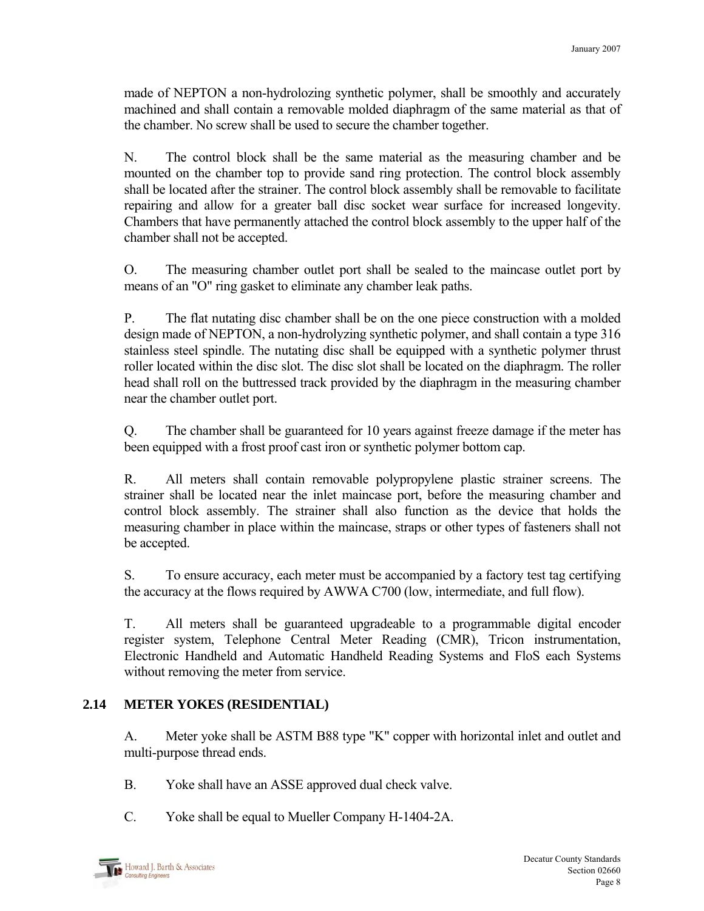made of NEPTON a non-hydrolozing synthetic polymer, shall be smoothly and accurately machined and shall contain a removable molded diaphragm of the same material as that of the chamber. No screw shall be used to secure the chamber together.

 N. The control block shall be the same material as the measuring chamber and be mounted on the chamber top to provide sand ring protection. The control block assembly shall be located after the strainer. The control block assembly shall be removable to facilitate repairing and allow for a greater ball disc socket wear surface for increased longevity. Chambers that have permanently attached the control block assembly to the upper half of the chamber shall not be accepted.

 O. The measuring chamber outlet port shall be sealed to the maincase outlet port by means of an "O" ring gasket to eliminate any chamber leak paths.

 P. The flat nutating disc chamber shall be on the one piece construction with a molded design made of NEPTON, a non-hydrolyzing synthetic polymer, and shall contain a type 316 stainless steel spindle. The nutating disc shall be equipped with a synthetic polymer thrust roller located within the disc slot. The disc slot shall be located on the diaphragm. The roller head shall roll on the buttressed track provided by the diaphragm in the measuring chamber near the chamber outlet port.

 Q. The chamber shall be guaranteed for 10 years against freeze damage if the meter has been equipped with a frost proof cast iron or synthetic polymer bottom cap.

 R. All meters shall contain removable polypropylene plastic strainer screens. The strainer shall be located near the inlet maincase port, before the measuring chamber and control block assembly. The strainer shall also function as the device that holds the measuring chamber in place within the maincase, straps or other types of fasteners shall not be accepted.

 S. To ensure accuracy, each meter must be accompanied by a factory test tag certifying the accuracy at the flows required by AWWA C700 (low, intermediate, and full flow).

 T. All meters shall be guaranteed upgradeable to a programmable digital encoder register system, Telephone Central Meter Reading (CMR), Tricon instrumentation, Electronic Handheld and Automatic Handheld Reading Systems and FloS each Systems without removing the meter from service.

# **2.14 METER YOKES (RESIDENTIAL)**

 A. Meter yoke shall be ASTM B88 type "K" copper with horizontal inlet and outlet and multi-purpose thread ends.

- B. Yoke shall have an ASSE approved dual check valve.
- C. Yoke shall be equal to Mueller Company H-1404-2A.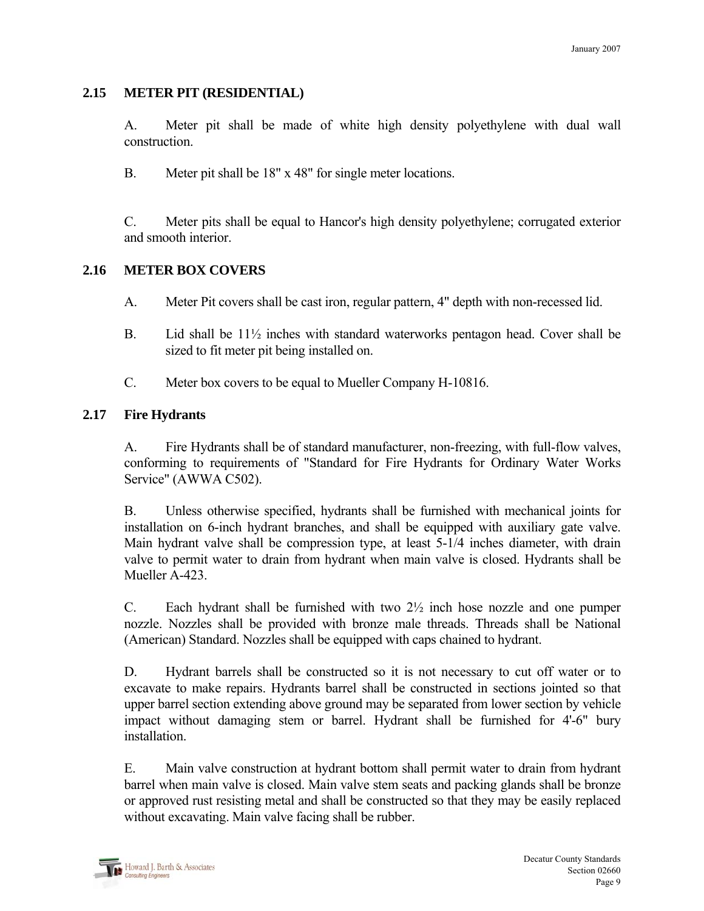#### **2.15 METER PIT (RESIDENTIAL)**

 A. Meter pit shall be made of white high density polyethylene with dual wall construction.

B. Meter pit shall be 18" x 48" for single meter locations.

 C. Meter pits shall be equal to Hancor's high density polyethylene; corrugated exterior and smooth interior.

#### **2.16 METER BOX COVERS**

- A. Meter Pit covers shall be cast iron, regular pattern, 4" depth with non-recessed lid.
- B. Lid shall be 11½ inches with standard waterworks pentagon head. Cover shall be sized to fit meter pit being installed on.
- C. Meter box covers to be equal to Mueller Company H-10816.

#### **2.17 Fire Hydrants**

 A. Fire Hydrants shall be of standard manufacturer, non-freezing, with full-flow valves, conforming to requirements of "Standard for Fire Hydrants for Ordinary Water Works Service" (AWWA C502).

 B. Unless otherwise specified, hydrants shall be furnished with mechanical joints for installation on 6-inch hydrant branches, and shall be equipped with auxiliary gate valve. Main hydrant valve shall be compression type, at least 5-1/4 inches diameter, with drain valve to permit water to drain from hydrant when main valve is closed. Hydrants shall be Mueller A-423.

C. Each hydrant shall be furnished with two  $2\frac{1}{2}$  inch hose nozzle and one pumper nozzle. Nozzles shall be provided with bronze male threads. Threads shall be National (American) Standard. Nozzles shall be equipped with caps chained to hydrant.

 D. Hydrant barrels shall be constructed so it is not necessary to cut off water or to excavate to make repairs. Hydrants barrel shall be constructed in sections jointed so that upper barrel section extending above ground may be separated from lower section by vehicle impact without damaging stem or barrel. Hydrant shall be furnished for 4'-6" bury installation.

 E. Main valve construction at hydrant bottom shall permit water to drain from hydrant barrel when main valve is closed. Main valve stem seats and packing glands shall be bronze or approved rust resisting metal and shall be constructed so that they may be easily replaced without excavating. Main valve facing shall be rubber.

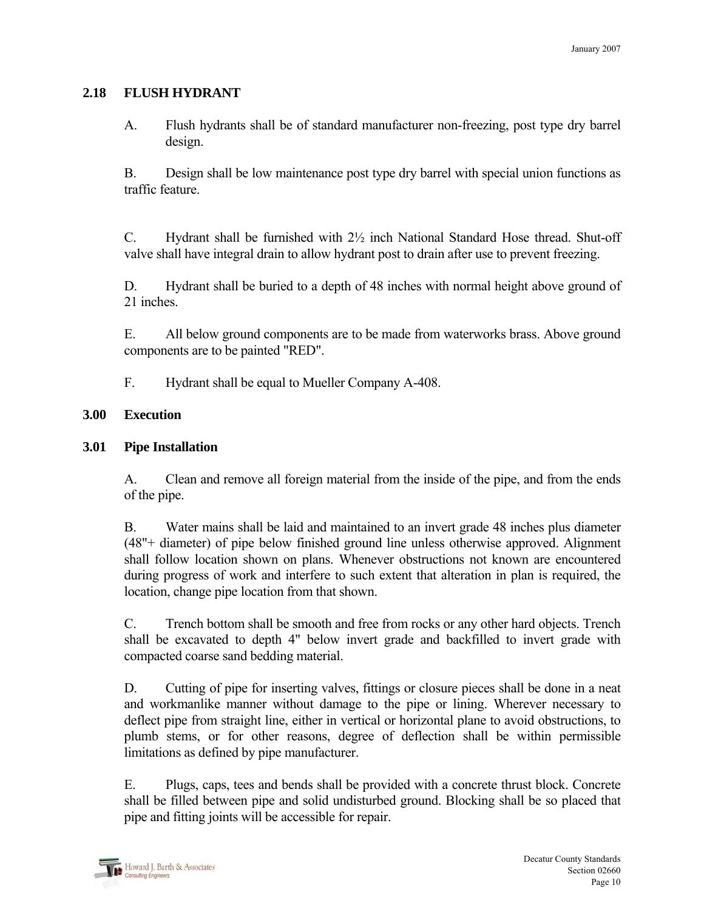#### **2.18 FLUSH HYDRANT**

A. Flush hydrants shall be of standard manufacturer non-freezing, post type dry barrel design.

 B. Design shall be low maintenance post type dry barrel with special union functions as traffic feature.

C. Hydrant shall be furnished with  $2\frac{1}{2}$  inch National Standard Hose thread. Shut-off valve shall have integral drain to allow hydrant post to drain after use to prevent freezing.

 D. Hydrant shall be buried to a depth of 48 inches with normal height above ground of 21 inches.

 E. All below ground components are to be made from waterworks brass. Above ground components are to be painted "RED".

F. Hydrant shall be equal to Mueller Company A-408.

#### **3.00 Execution**

# **3.01 Pipe Installation**

 A. Clean and remove all foreign material from the inside of the pipe, and from the ends of the pipe.

 B. Water mains shall be laid and maintained to an invert grade 48 inches plus diameter (48"+ diameter) of pipe below finished ground line unless otherwise approved. Alignment shall follow location shown on plans. Whenever obstructions not known are encountered during progress of work and interfere to such extent that alteration in plan is required, the location, change pipe location from that shown.

 C. Trench bottom shall be smooth and free from rocks or any other hard objects. Trench shall be excavated to depth 4" below invert grade and backfilled to invert grade with compacted coarse sand bedding material.

D. Cutting of pipe for inserting valves, fittings or closure pieces shall be done in a neat and workmanlike manner without damage to the pipe or lining. Wherever necessary to deflect pipe from straight line, either in vertical or horizontal plane to avoid obstructions, to plumb stems, or for other reasons, degree of deflection shall be within permissible limitations as defined by pipe manufacturer.

 E. Plugs, caps, tees and bends shall be provided with a concrete thrust block. Concrete shall be filled between pipe and solid undisturbed ground. Blocking shall be so placed that pipe and fitting joints will be accessible for repair.

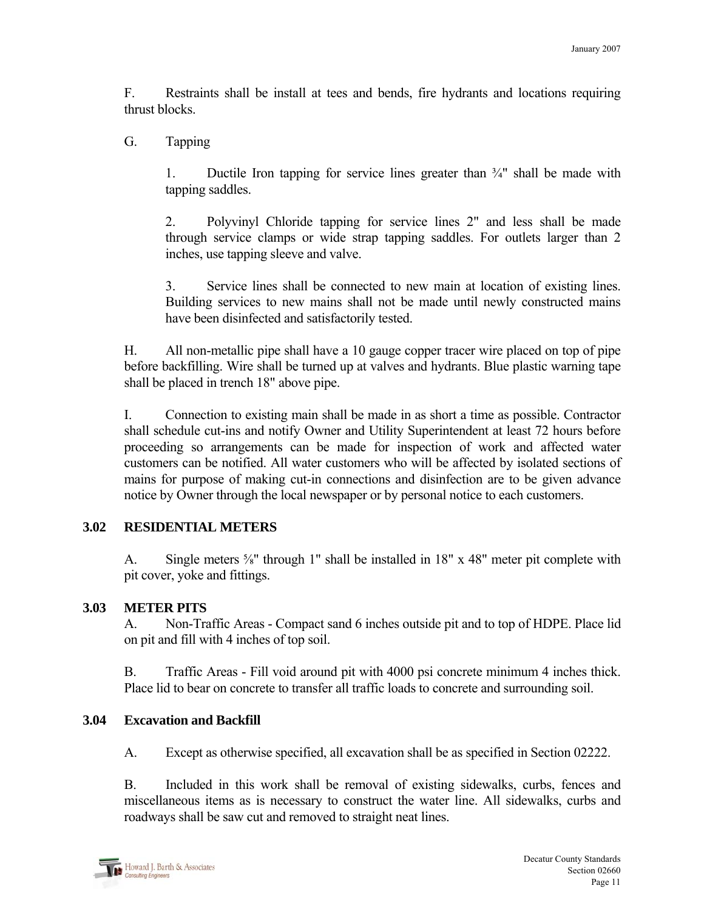F. Restraints shall be install at tees and bends, fire hydrants and locations requiring thrust blocks.

G. Tapping

1. Ductile Iron tapping for service lines greater than  $\frac{3}{4}$ " shall be made with tapping saddles.

 2. Polyvinyl Chloride tapping for service lines 2" and less shall be made through service clamps or wide strap tapping saddles. For outlets larger than 2 inches, use tapping sleeve and valve.

 3. Service lines shall be connected to new main at location of existing lines. Building services to new mains shall not be made until newly constructed mains have been disinfected and satisfactorily tested.

 H. All non-metallic pipe shall have a 10 gauge copper tracer wire placed on top of pipe before backfilling. Wire shall be turned up at valves and hydrants. Blue plastic warning tape shall be placed in trench 18" above pipe.

 I. Connection to existing main shall be made in as short a time as possible. Contractor shall schedule cut-ins and notify Owner and Utility Superintendent at least 72 hours before proceeding so arrangements can be made for inspection of work and affected water customers can be notified. All water customers who will be affected by isolated sections of mains for purpose of making cut-in connections and disinfection are to be given advance notice by Owner through the local newspaper or by personal notice to each customers.

#### **3.02 RESIDENTIAL METERS**

A. Single meters <sup>5</sup>/<sub>8</sub>" through 1" shall be installed in 18" x 48" meter pit complete with pit cover, yoke and fittings.

#### **3.03 METER PITS**

 A. Non-Traffic Areas - Compact sand 6 inches outside pit and to top of HDPE. Place lid on pit and fill with 4 inches of top soil.

 B. Traffic Areas - Fill void around pit with 4000 psi concrete minimum 4 inches thick. Place lid to bear on concrete to transfer all traffic loads to concrete and surrounding soil.

#### **3.04 Excavation and Backfill**

A. Except as otherwise specified, all excavation shall be as specified in Section 02222.

 B. Included in this work shall be removal of existing sidewalks, curbs, fences and miscellaneous items as is necessary to construct the water line. All sidewalks, curbs and roadways shall be saw cut and removed to straight neat lines.

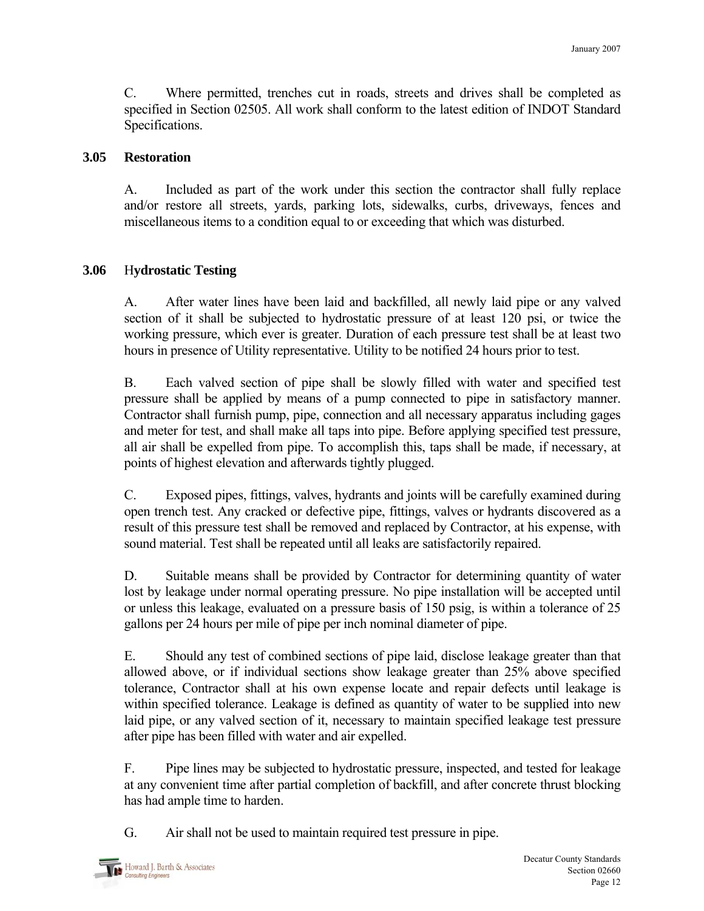C. Where permitted, trenches cut in roads, streets and drives shall be completed as specified in Section 02505. All work shall conform to the latest edition of INDOT Standard Specifications.

#### **3.05 Restoration**

 A. Included as part of the work under this section the contractor shall fully replace and/or restore all streets, yards, parking lots, sidewalks, curbs, driveways, fences and miscellaneous items to a condition equal to or exceeding that which was disturbed.

# **3.06** H**ydrostatic Testing**

 A. After water lines have been laid and backfilled, all newly laid pipe or any valved section of it shall be subjected to hydrostatic pressure of at least 120 psi, or twice the working pressure, which ever is greater. Duration of each pressure test shall be at least two hours in presence of Utility representative. Utility to be notified 24 hours prior to test.

 B. Each valved section of pipe shall be slowly filled with water and specified test pressure shall be applied by means of a pump connected to pipe in satisfactory manner. Contractor shall furnish pump, pipe, connection and all necessary apparatus including gages and meter for test, and shall make all taps into pipe. Before applying specified test pressure, all air shall be expelled from pipe. To accomplish this, taps shall be made, if necessary, at points of highest elevation and afterwards tightly plugged.

 C. Exposed pipes, fittings, valves, hydrants and joints will be carefully examined during open trench test. Any cracked or defective pipe, fittings, valves or hydrants discovered as a result of this pressure test shall be removed and replaced by Contractor, at his expense, with sound material. Test shall be repeated until all leaks are satisfactorily repaired.

 D. Suitable means shall be provided by Contractor for determining quantity of water lost by leakage under normal operating pressure. No pipe installation will be accepted until or unless this leakage, evaluated on a pressure basis of 150 psig, is within a tolerance of 25 gallons per 24 hours per mile of pipe per inch nominal diameter of pipe.

 E. Should any test of combined sections of pipe laid, disclose leakage greater than that allowed above, or if individual sections show leakage greater than 25% above specified tolerance, Contractor shall at his own expense locate and repair defects until leakage is within specified tolerance. Leakage is defined as quantity of water to be supplied into new laid pipe, or any valved section of it, necessary to maintain specified leakage test pressure after pipe has been filled with water and air expelled.

 F. Pipe lines may be subjected to hydrostatic pressure, inspected, and tested for leakage at any convenient time after partial completion of backfill, and after concrete thrust blocking has had ample time to harden.

G. Air shall not be used to maintain required test pressure in pipe.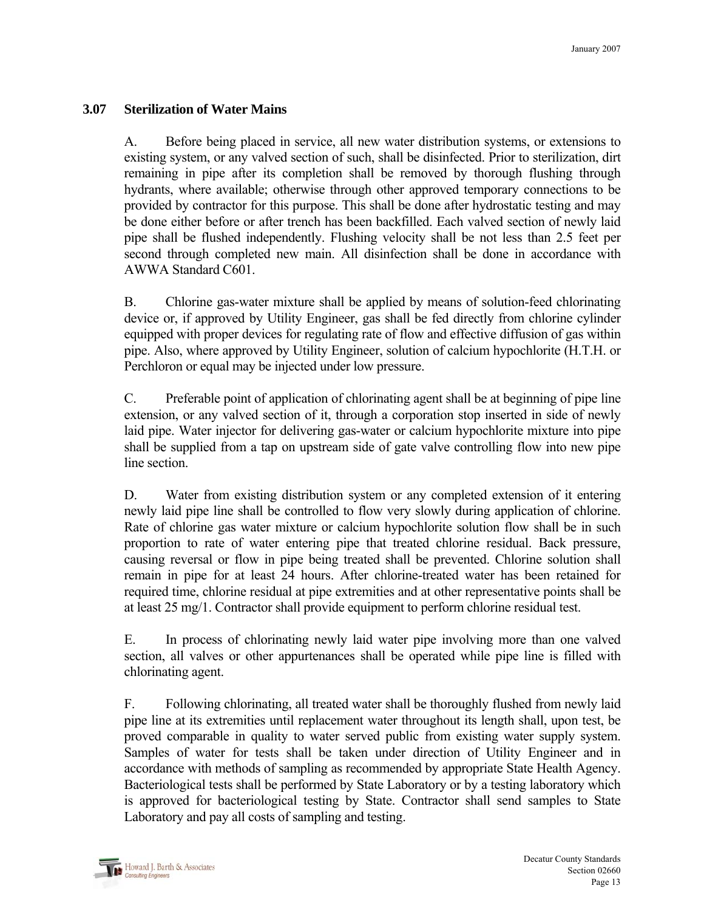#### **3.07 Sterilization of Water Mains**

 A. Before being placed in service, all new water distribution systems, or extensions to existing system, or any valved section of such, shall be disinfected. Prior to sterilization, dirt remaining in pipe after its completion shall be removed by thorough flushing through hydrants, where available; otherwise through other approved temporary connections to be provided by contractor for this purpose. This shall be done after hydrostatic testing and may be done either before or after trench has been backfilled. Each valved section of newly laid pipe shall be flushed independently. Flushing velocity shall be not less than 2.5 feet per second through completed new main. All disinfection shall be done in accordance with AWWA Standard C601.

 B. Chlorine gas-water mixture shall be applied by means of solution-feed chlorinating device or, if approved by Utility Engineer, gas shall be fed directly from chlorine cylinder equipped with proper devices for regulating rate of flow and effective diffusion of gas within pipe. Also, where approved by Utility Engineer, solution of calcium hypochlorite (H.T.H. or Perchloron or equal may be injected under low pressure.

 C. Preferable point of application of chlorinating agent shall be at beginning of pipe line extension, or any valved section of it, through a corporation stop inserted in side of newly laid pipe. Water injector for delivering gas-water or calcium hypochlorite mixture into pipe shall be supplied from a tap on upstream side of gate valve controlling flow into new pipe line section.

 D. Water from existing distribution system or any completed extension of it entering newly laid pipe line shall be controlled to flow very slowly during application of chlorine. Rate of chlorine gas water mixture or calcium hypochlorite solution flow shall be in such proportion to rate of water entering pipe that treated chlorine residual. Back pressure, causing reversal or flow in pipe being treated shall be prevented. Chlorine solution shall remain in pipe for at least 24 hours. After chlorine-treated water has been retained for required time, chlorine residual at pipe extremities and at other representative points shall be at least 25 mg/1. Contractor shall provide equipment to perform chlorine residual test.

 E. In process of chlorinating newly laid water pipe involving more than one valved section, all valves or other appurtenances shall be operated while pipe line is filled with chlorinating agent.

 F. Following chlorinating, all treated water shall be thoroughly flushed from newly laid pipe line at its extremities until replacement water throughout its length shall, upon test, be proved comparable in quality to water served public from existing water supply system. Samples of water for tests shall be taken under direction of Utility Engineer and in accordance with methods of sampling as recommended by appropriate State Health Agency. Bacteriological tests shall be performed by State Laboratory or by a testing laboratory which is approved for bacteriological testing by State. Contractor shall send samples to State Laboratory and pay all costs of sampling and testing.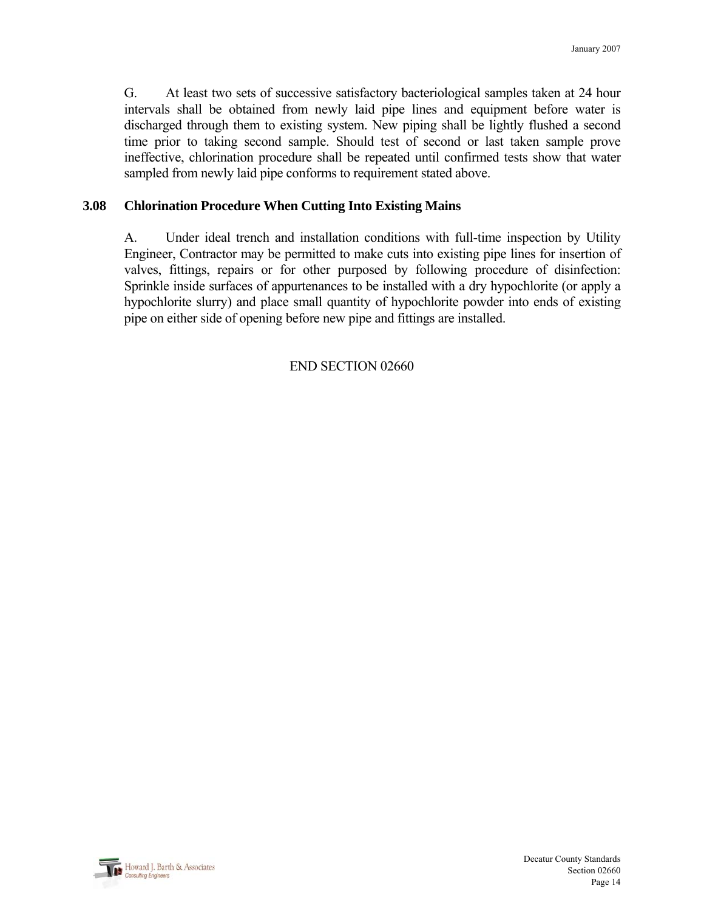G. At least two sets of successive satisfactory bacteriological samples taken at 24 hour intervals shall be obtained from newly laid pipe lines and equipment before water is discharged through them to existing system. New piping shall be lightly flushed a second time prior to taking second sample. Should test of second or last taken sample prove ineffective, chlorination procedure shall be repeated until confirmed tests show that water sampled from newly laid pipe conforms to requirement stated above.

#### **3.08 Chlorination Procedure When Cutting Into Existing Mains**

 A. Under ideal trench and installation conditions with full-time inspection by Utility Engineer, Contractor may be permitted to make cuts into existing pipe lines for insertion of valves, fittings, repairs or for other purposed by following procedure of disinfection: Sprinkle inside surfaces of appurtenances to be installed with a dry hypochlorite (or apply a hypochlorite slurry) and place small quantity of hypochlorite powder into ends of existing pipe on either side of opening before new pipe and fittings are installed.

#### END SECTION 02660

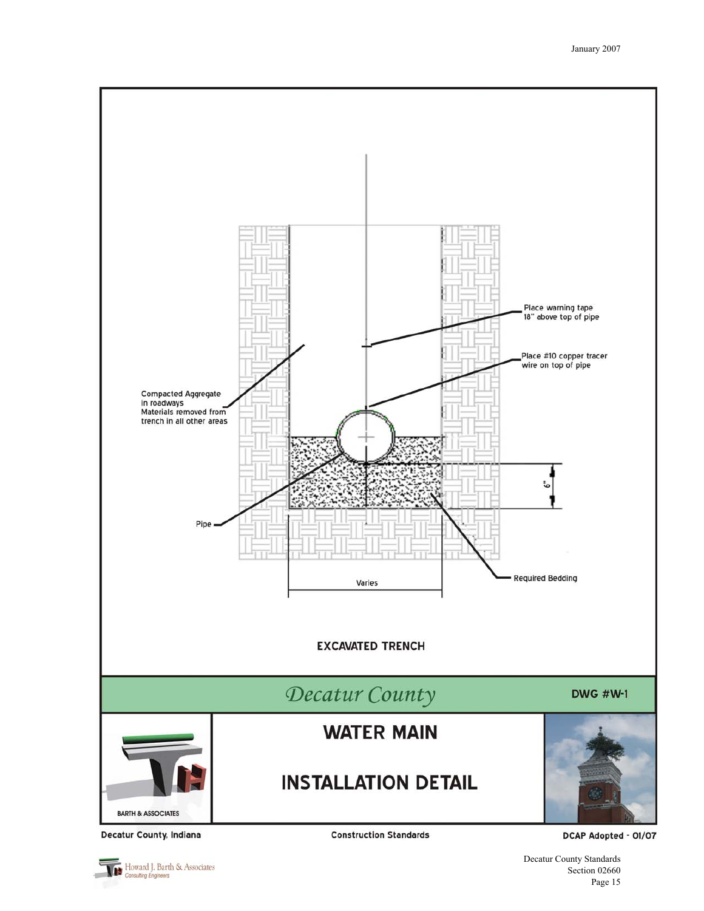

Decatur County, Indiana

Howard J. Barth & Associates

**Construction Standards** 

DCAP Adopted - 01/07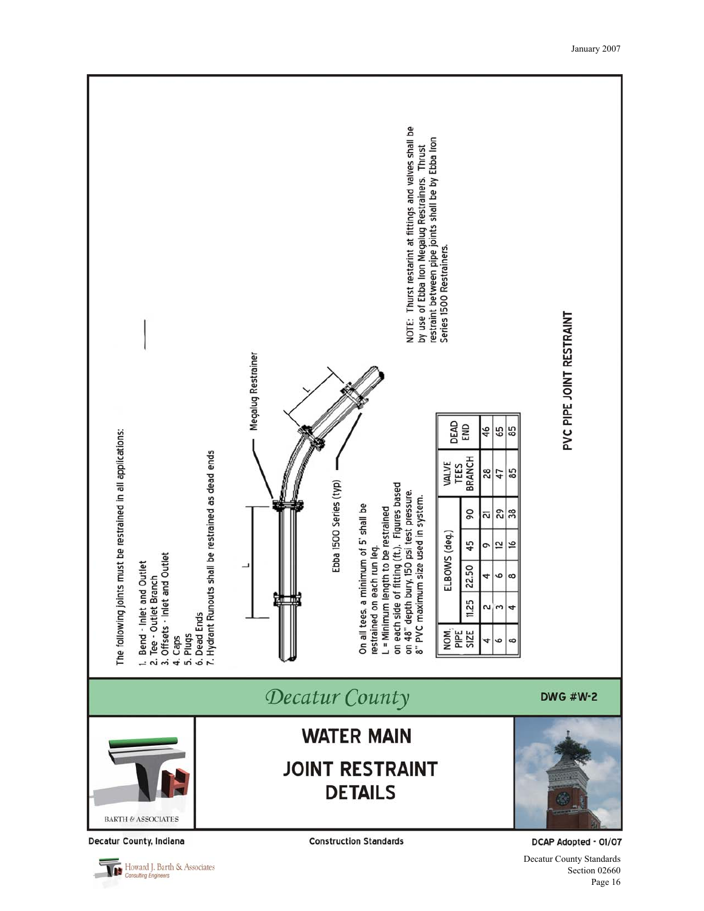

Decatur County, Indiana

Howard J. Barth & Associates

**Construction Standards** 

DCAP Adopted - 01/07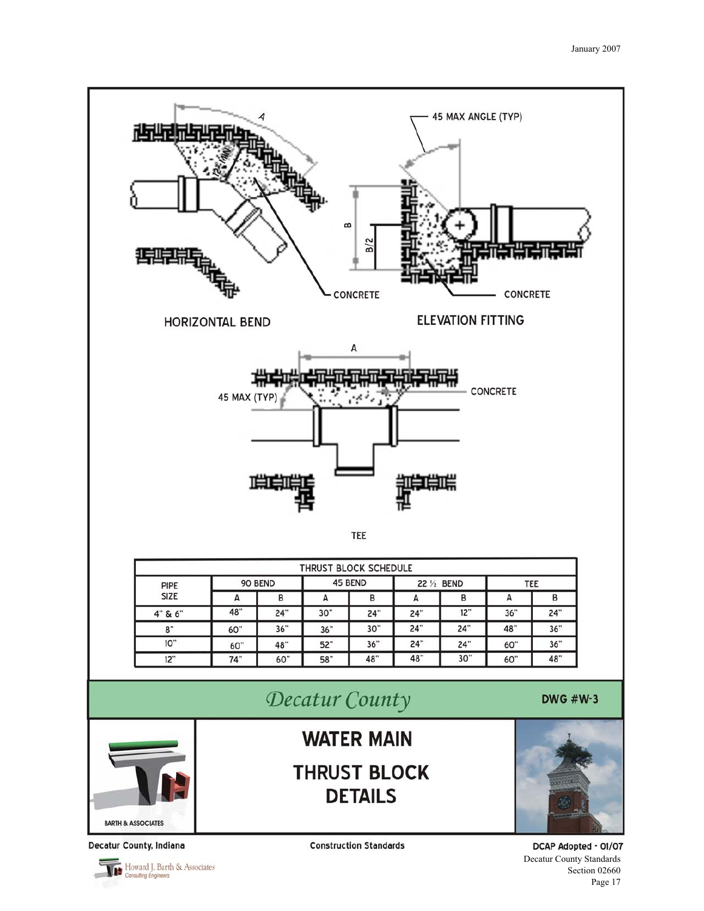

**BARTH & ASSOCIATES** 

Decatur County, Indiana

Howard J. Barth & Associates

**Construction Standards** 

DCAP Adopted - 01/07 Decatur County Standards Section 02660

Page 17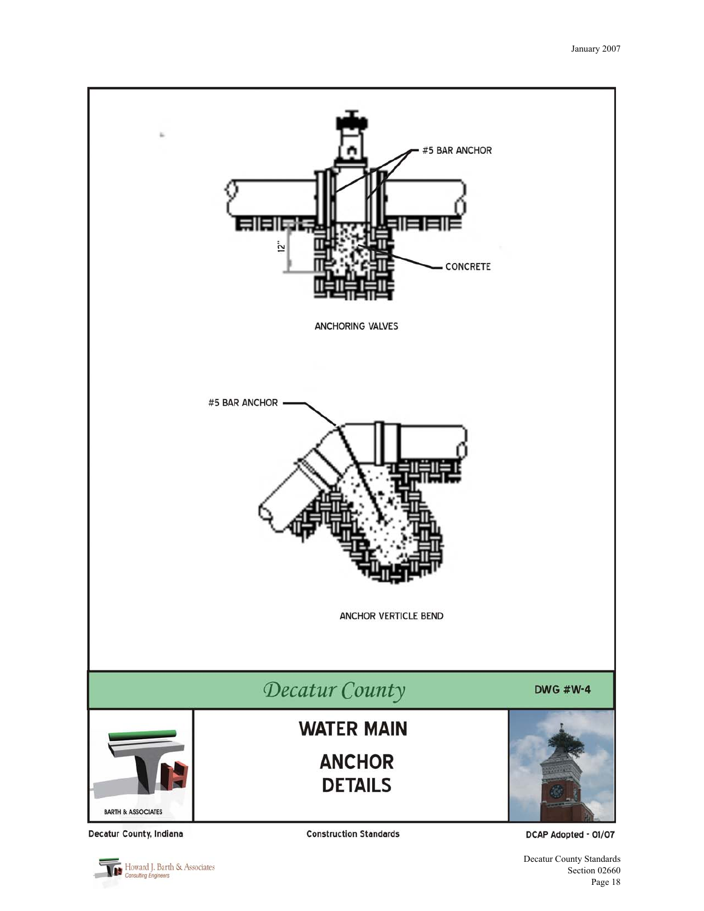

Decatur County, Indiana

**Construction Standards** 

DCAP Adopted - 01/07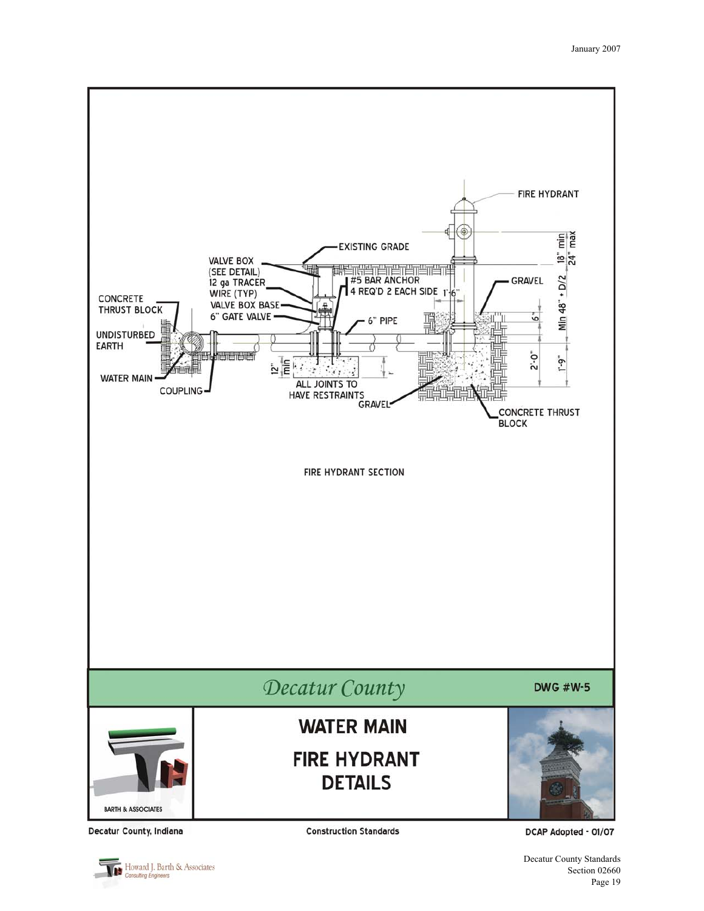![](_page_18_Figure_1.jpeg)

Howard J. Barth & Associates